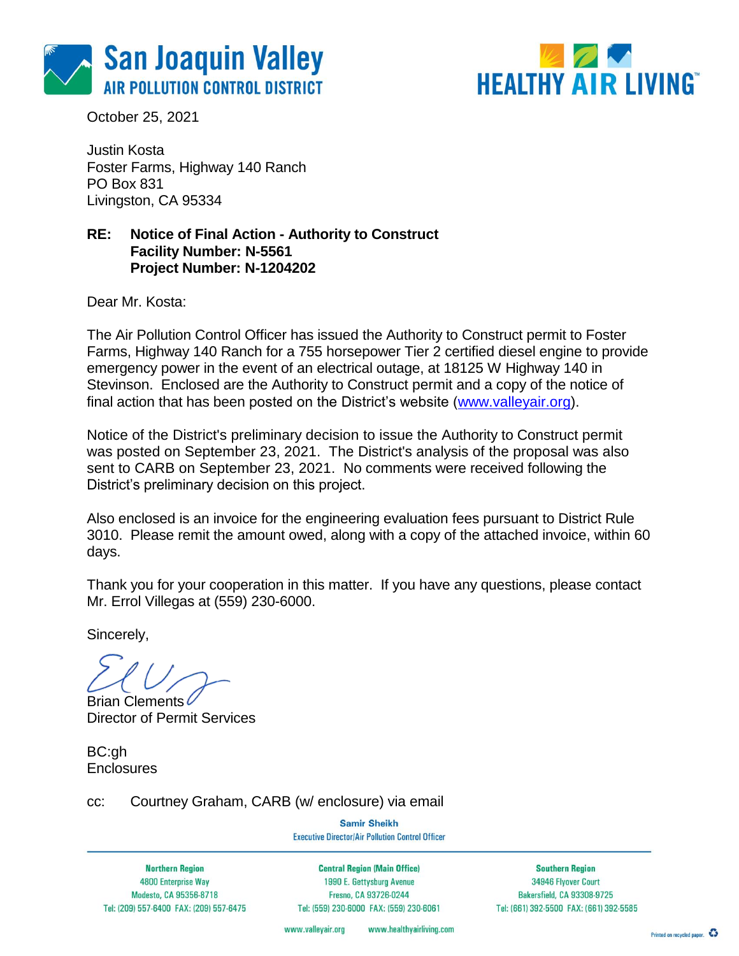



October 25, 2021

Justin Kosta Foster Farms, Highway 140 Ranch PO Box 831 Livingston, CA 95334

### **RE: Notice of Final Action - Authority to Construct Facility Number: N-5561 Project Number: N-1204202**

Dear Mr. Kosta:

The Air Pollution Control Officer has issued the Authority to Construct permit to Foster Farms, Highway 140 Ranch for a 755 horsepower Tier 2 certified diesel engine to provide emergency power in the event of an electrical outage, at 18125 W Highway 140 in Stevinson. Enclosed are the Authority to Construct permit and a copy of the notice of final action that has been posted on the District's website [\(www.valleyair.org\)](http://www.valleyair.org/).

Notice of the District's preliminary decision to issue the Authority to Construct permit was posted on September 23, 2021. The District's analysis of the proposal was also sent to CARB on September 23, 2021. No comments were received following the District's preliminary decision on this project.

Also enclosed is an invoice for the engineering evaluation fees pursuant to District Rule 3010. Please remit the amount owed, along with a copy of the attached invoice, within 60 days.

Thank you for your cooperation in this matter. If you have any questions, please contact Mr. Errol Villegas at (559) 230-6000.

Sincerely,

**Brian Clements** Director of Permit Services

BC:gh **Enclosures** 

cc: Courtney Graham, CARB (w/ enclosure) via email

**Samir Sheikh Executive Director/Air Pollution Control Officer** 

**Northern Region** 4800 Enterprise Way Modesto, CA 95356-8718 Tel: (209) 557-6400 FAX: (209) 557-6475

**Central Region (Main Office)** 1990 E. Gettysburg Avenue Fresno, CA 93726-0244 Tel: (559) 230-6000 FAX: (559) 230-6061

**Southern Region** 34946 Flyover Court Bakersfield, CA 93308-9725 Tel: (661) 392-5500 FAX: (661) 392-5585

www.healthyairliving.com www.valleyair.org

Printed on recycled paper.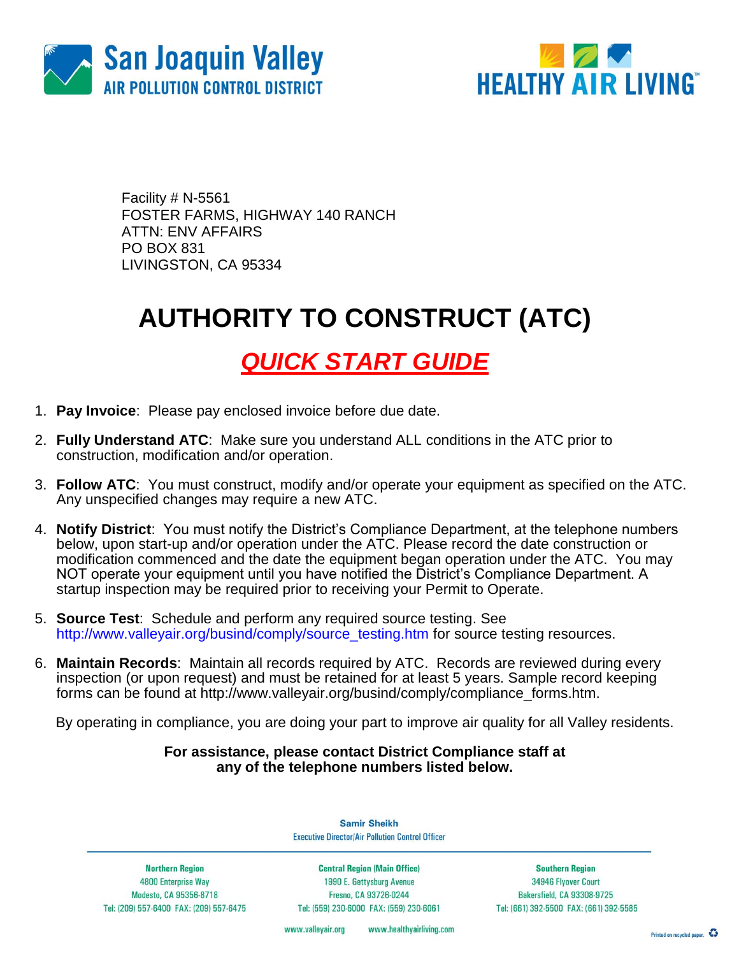



Facility # N-5561 FOSTER FARMS, HIGHWAY 140 RANCH ATTN: ENV AFFAIRS PO BOX 831 LIVINGSTON, CA 95334

# **AUTHORITY TO CONSTRUCT (ATC)**

## *QUICK START GUIDE*

- 1. **Pay Invoice**: Please pay enclosed invoice before due date.
- 2. **Fully Understand ATC**: Make sure you understand ALL conditions in the ATC prior to construction, modification and/or operation.
- 3. **Follow ATC**: You must construct, modify and/or operate your equipment as specified on the ATC. Any unspecified changes may require a new ATC.
- 4. **Notify District**: You must notify the District's Compliance Department, at the telephone numbers below, upon start-up and/or operation under the ATC. Please record the date construction or modification commenced and the date the equipment began operation under the ATC. You may NOT operate your equipment until you have notified the District's Compliance Department. A startup inspection may be required prior to receiving your Permit to Operate.
- 5. **Source Test**: Schedule and perform any required source testing. See [http://www.valleyair.org/busind/comply/source\\_testing.htm](http://www.valleyair.org/busind/comply/source_testing.htm) for source testing resources.
- 6. **Maintain Records**:Maintain all records required by ATC. Records are reviewed during every inspection (or upon request) and must be retained for at least 5 years. Sample record keeping forms can be found at http://www.valleyair.org/busind/comply/compliance\_forms.htm.

By operating in compliance, you are doing your part to improve air quality for all Valley residents.

### **For assistance, please contact District Compliance staff at any of the telephone numbers listed below.**

**Samir Sheikh Executive Director/Air Pollution Control Officer** 

**Northern Region** 4800 Enterprise Way Modesto, CA 95356-8718 Tel: (209) 557-6400 FAX: (209) 557-6475

**Central Region (Main Office)** 1990 E. Gettysburg Avenue Fresno, CA 93726-0244 Tel: (559) 230-6000 FAX: (559) 230-6061

**Southern Region** 34946 Flyover Court Bakersfield, CA 93308-9725 Tel: (661) 392-5500 FAX: (661) 392-5585

www.healthyairliving.com www.valleyair.org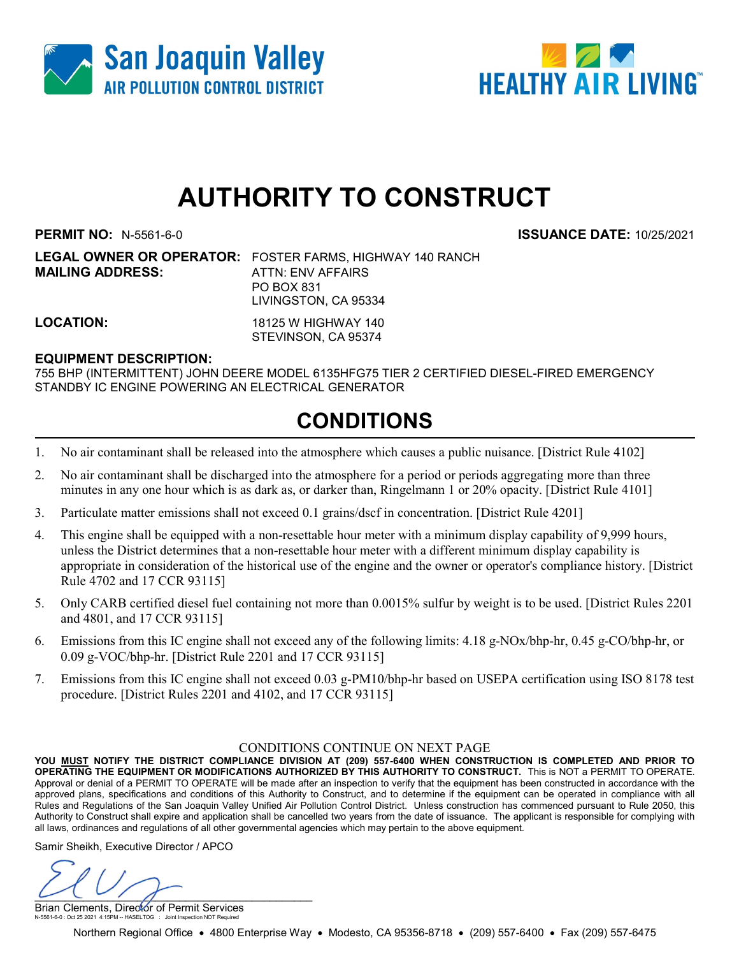



# AUTHORITY TO CONSTRUCT

**MAILING ADDRESS:** ATTN: ENV AFFAIRS

PERMIT NO: N-5561-6-0 ISSUANCE DATE: 10/25/2021

LEGAL OWNER OR OPERATOR: FOSTER FARMS, HIGHWAY 140 RANCH PO BOX 831 LIVINGSTON, CA 95334

LOCATION: 18125 W HIGHWAY 140 STEVINSON, CA 95374

#### EQUIPMENT DESCRIPTION:

755 BHP (INTERMITTENT) JOHN DEERE MODEL 6135HFG75 TIER 2 CERTIFIED DIESEL-FIRED EMERGENCY STANDBY IC ENGINE POWERING AN ELECTRICAL GENERATOR

### CONDITIONS

- 1. No air contaminant shall be released into the atmosphere which causes a public nuisance. [District Rule 4102]
- 2. No air contaminant shall be discharged into the atmosphere for a period or periods aggregating more than three minutes in any one hour which is as dark as, or darker than, Ringelmann 1 or 20% opacity. [District Rule 4101]
- 3. Particulate matter emissions shall not exceed 0.1 grains/dscf in concentration. [District Rule 4201]
- 4. This engine shall be equipped with a non-resettable hour meter with a minimum display capability of 9,999 hours, unless the District determines that a non-resettable hour meter with a different minimum display capability is appropriate in consideration of the historical use of the engine and the owner or operator's compliance history. [District Rule 4702 and 17 CCR 93115]
- 5. Only CARB certified diesel fuel containing not more than 0.0015% sulfur by weight is to be used. [District Rules 2201 and 4801, and 17 CCR 93115]
- 6. Emissions from this IC engine shall not exceed any of the following limits: 4.18 g-NOx/bhp-hr, 0.45 g-CO/bhp-hr, or 0.09 g-VOC/bhp-hr. [District Rule 2201 and 17 CCR 93115]
- 7. Emissions from this IC engine shall not exceed 0.03 g-PM10/bhp-hr based on USEPA certification using ISO 8178 test procedure. [District Rules 2201 and 4102, and 17 CCR 93115]

#### CONDITIONS CONTINUE ON NEXT PAGE

YOU MUST NOTIFY THE DISTRICT COMPLIANCE DIVISION AT (209) 557-6400 WHEN CONSTRUCTION IS COMPLETED AND PRIOR TO OPERATING THE EQUIPMENT OR MODIFICATIONS AUTHORIZED BY THIS AUTHORITY TO CONSTRUCT. This is NOT a PERMIT TO OPERATE. Approval or denial of a PERMIT TO OPERATE will be made after an inspection to verify that the equipment has been constructed in accordance with the approved plans, specifications and conditions of this Authority to Construct, and to determine if the equipment can be operated in compliance with all Rules and Regulations of the San Joaquin Valley Unified Air Pollution Control District. Unless construction has commenced pursuant to Rule 2050, this Authority to Construct shall expire and application shall be cancelled two years from the date of issuance. The applicant is responsible for complying with all laws, ordinances and regulations of all other governmental agencies which may pertain to the above equipment.

Samir Sheikh, Executive Director / APCO

 $\cup$ 

Brian Clements, Director of Permit Services N-5561-6-0 : Oct 25 2021 4:15PM -- HASELTOG : Joint Inspection NOT Required

Northern Regional Office • 4800 Enterprise Way • Modesto, CA 95356-8718 • (209) 557-6400 • Fax (209) 557-6475